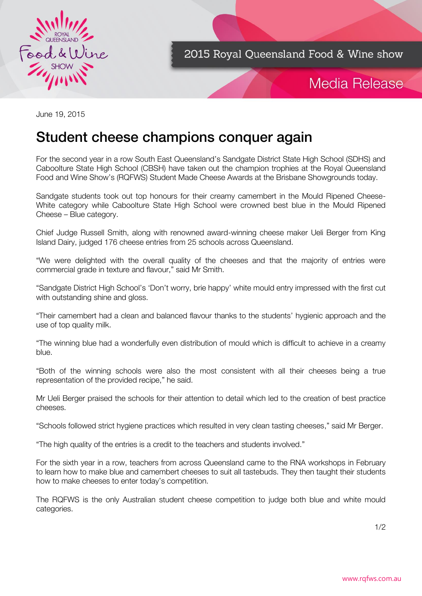

2015 Royal Queensland Food & Wine show

## Media Release

June 19, 2015

# Student cheese champions conquer again

For the second year in a row South East Queensland's Sandgate District State High School (SDHS) and Caboolture State High School (CBSH) have taken out the champion trophies at the Royal Queensland Food and Wine Show's (RQFWS) Student Made Cheese Awards at the Brisbane Showgrounds today.

Sandgate students took out top honours for their creamy camembert in the Mould Ripened Cheese-White category while Caboolture State High School were crowned best blue in the Mould Ripened Cheese – Blue category.

Chief Judge Russell Smith, along with renowned award-winning cheese maker Ueli Berger from King Island Dairy, judged 176 cheese entries from 25 schools across Queensland.

"We were delighted with the overall quality of the cheeses and that the majority of entries were commercial grade in texture and flavour," said Mr Smith.

"Sandgate District High School's 'Don't worry, brie happy' white mould entry impressed with the first cut with outstanding shine and gloss.

"Their camembert had a clean and balanced flavour thanks to the students' hygienic approach and the use of top quality milk.

"The winning blue had a wonderfully even distribution of mould which is difficult to achieve in a creamy blue.

"Both of the winning schools were also the most consistent with all their cheeses being a true representation of the provided recipe," he said.

Mr Ueli Berger praised the schools for their attention to detail which led to the creation of best practice cheeses.

"Schools followed strict hygiene practices which resulted in very clean tasting cheeses," said Mr Berger.

"The high quality of the entries is a credit to the teachers and students involved."

For the sixth year in a row, teachers from across Queensland came to the RNA workshops in February to learn how to make blue and camembert cheeses to suit all tastebuds. They then taught their students how to make cheeses to enter today's competition.

The RQFWS is the only Australian student cheese competition to judge both blue and white mould categories.

1/2